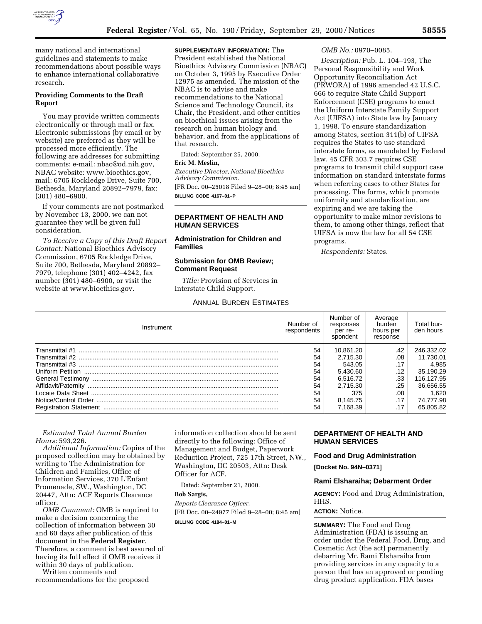

many national and international guidelines and statements to make recommendations about possible ways to enhance international collaborative research.

## **Providing Comments to the Draft Report**

You may provide written comments electronically or through mail or fax. Electronic submissions (by email or by website) are preferred as they will be processed more efficiently. The following are addresses for submitting comments: e-mail: nbac@od.nih.gov, NBAC website: www.bioethics.gov, mail: 6705 Rockledge Drive, Suite 700, Bethesda, Maryland 20892–7979, fax: (301) 480–6900.

If your comments are not postmarked by November 13, 2000, we can not guarantee they will be given full consideration.

*To Receive a Copy of this Draft Report Contact:* National Bioethics Advisory Commission, 6705 Rockledge Drive, Suite 700, Bethesda, Maryland 20892– 7979, telephone (301) 402–4242, fax number (301) 480–6900, or visit the website at www.bioethics.gov.

**SUPPLEMENTARY INFORMATION:** The President established the National Bioethics Advisory Commission (NBAC) on October 3, 1995 by Executive Order 12975 as amended. The mission of the NBAC is to advise and make recommendations to the National Science and Technology Council, its Chair, the President, and other entities on bioethical issues arising from the research on human biology and behavior, and from the applications of that research.

Dated: September 25, 2000.

# **Eric M. Meslin,**

*Executive Director, National Bioethics Advisory Commission.*

[FR Doc. 00–25018 Filed 9–28–00; 8:45 am] **BILLING CODE 4167–01–P**

## **DEPARTMENT OF HEALTH AND HUMAN SERVICES**

**Administration for Children and Families**

## **Submission for OMB Review; Comment Request**

*Title:* Provision of Services in Interstate Child Support.

## ANNUAL BURDEN ESTIMATES

#### *OMB No.:* 0970–0085.

*Description:* Pub. L. 104–193, The Personal Responsibility and Work Opportunity Reconciliation Act (PRWORA) of 1996 amended 42 U.S.C. 666 to require State Child Support Enforcement (CSE) programs to enact the Uniform Interstate Family Support Act (UIFSA) into State law by January 1, 1998. To ensure standardization among States, section 311(b) of UIFSA requires the States to use standard interstate forms, as mandated by Federal law. 45 CFR 303.7 requires CSE programs to transmit child support case information on standard interstate forms when referring cases to other States for processing. The forms, which promote uniformity and standardization, are expiring and we are taking the opportunity to make minor revisions to them, to among other things, reflect that UIFSA is now the law for all 54 CSE programs.

*Respondents:* States.

| Instrument | Number of<br>respondents | Number of<br>responses<br>per re-<br>spondent | Average<br>burden<br>hours per<br>response | Total bur-<br>den hours |
|------------|--------------------------|-----------------------------------------------|--------------------------------------------|-------------------------|
|            | 54                       | 10.861.20                                     | .42                                        | 246.332.02              |
|            | 54                       | 2.715.30                                      | .08                                        | 11.730.01               |
|            | 54                       | 543.05                                        | .17                                        | 4.985                   |
|            | 54                       | 5.430.60                                      | .12                                        | 35,190.29               |
|            | 54                       | 6.516.72                                      | .33                                        | 116,127.95              |
|            | 54                       | 2.715.30                                      | .25                                        | 36,656.55               |
|            | 54                       | 375                                           | .08                                        | 1.620                   |
|            | 54                       | 8.145.75                                      | .17                                        | 74.777.98               |

## *Estimated Total Annual Burden Hours:* 593,226.

*Additional Information:* Copies of the proposed collection may be obtained by writing to The Administration for Children and Families, Office of Information Services, 370 L'Enfant Promenade, SW., Washington, DC 20447, Attn: ACF Reports Clearance officer.

*OMB Comment:* OMB is required to make a decision concerning the collection of information between 30 and 60 days after publication of this document in the **Federal Register**. Therefore, a comment is best assured of having its full effect if OMB receives it within 30 days of publication.

Written comments and recommendations for the proposed information collection should be sent directly to the following: Office of Management and Budget, Paperwork Reduction Project, 725 17th Street, NW., Washington, DC 20503, Attn: Desk Officer for ACF.

Dated: September 21, 2000.

### **Bob Sargis,**

*Reports Clearance Officer.* [FR Doc. 00–24977 Filed 9–28–00; 8:45 am]

**BILLING CODE 4184–01–M**

## **DEPARTMENT OF HEALTH AND HUMAN SERVICES**

### **Food and Drug Administration**

**[Docket No. 94N–0371]**

## **Rami Elsharaiha; Debarment Order**

**AGENCY:** Food and Drug Administration, HHS.

### **ACTION:** Notice.

**SUMMARY:** The Food and Drug Administration (FDA) is issuing an order under the Federal Food, Drug, and Cosmetic Act (the act) permanently debarring Mr. Rami Elsharaiha from providing services in any capacity to a person that has an approved or pending drug product application. FDA bases